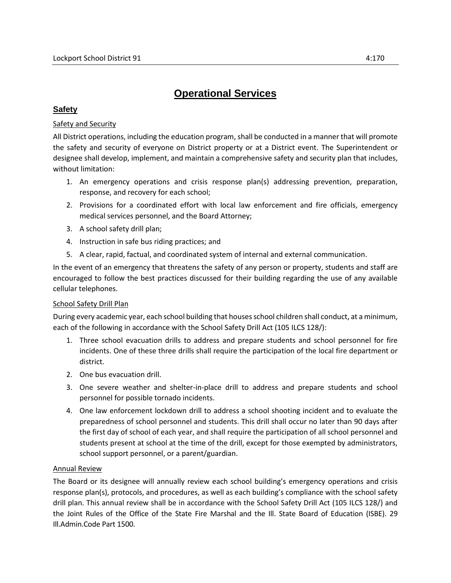# **Operational Services**

## **Safety**

## Safety and Security

All District operations, including the education program, shall be conducted in a manner that will promote the safety and security of everyone on District property or at a District event. The Superintendent or designee shall develop, implement, and maintain a comprehensive safety and security plan that includes, without limitation:

- 1. An emergency operations and crisis response plan(s) addressing prevention, preparation, response, and recovery for each school;
- 2. Provisions for a coordinated effort with local law enforcement and fire officials, emergency medical services personnel, and the Board Attorney;
- 3. A school safety drill plan;
- 4. Instruction in safe bus riding practices; and
- 5. A clear, rapid, factual, and coordinated system of internal and external communication.

In the event of an emergency that threatens the safety of any person or property, students and staff are encouraged to follow the best practices discussed for their building regarding the use of any available cellular telephones.

#### School Safety Drill Plan

During every academic year, each school building that houses school children shall conduct, at a minimum, each of the following in accordance with the School Safety Drill Act (105 ILCS 128/):

- 1. Three school evacuation drills to address and prepare students and school personnel for fire incidents. One of these three drills shall require the participation of the local fire department or district.
- 2. One bus evacuation drill.
- 3. One severe weather and shelter-in-place drill to address and prepare students and school personnel for possible tornado incidents.
- 4. One law enforcement lockdown drill to address a school shooting incident and to evaluate the preparedness of school personnel and students. This drill shall occur no later than 90 days after the first day of school of each year, and shall require the participation of all school personnel and students present at school at the time of the drill, except for those exempted by administrators, school support personnel, or a parent/guardian.

#### Annual Review

The Board or its designee will annually review each school building's emergency operations and crisis response plan(s), protocols, and procedures, as well as each building's compliance with the school safety drill plan. This annual review shall be in accordance with the School Safety Drill Act (105 ILCS 128/) and the Joint Rules of the Office of the State Fire Marshal and the Ill. State Board of Education (ISBE). 29 Ill.Admin.Code Part 1500.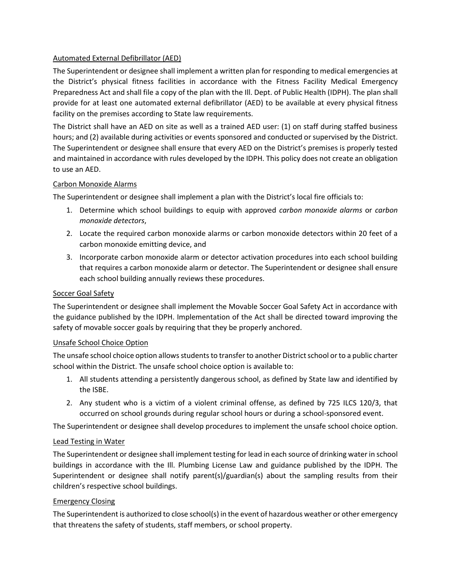### Automated External Defibrillator (AED)

The Superintendent or designee shall implement a written plan for responding to medical emergencies at the District's physical fitness facilities in accordance with the Fitness Facility Medical Emergency Preparedness Act and shall file a copy of the plan with the Ill. Dept. of Public Health (IDPH). The plan shall provide for at least one automated external defibrillator (AED) to be available at every physical fitness facility on the premises according to State law requirements.

The District shall have an AED on site as well as a trained AED user: (1) on staff during staffed business hours; and (2) available during activities or events sponsored and conducted or supervised by the District. The Superintendent or designee shall ensure that every AED on the District's premises is properly tested and maintained in accordance with rules developed by the IDPH. This policy does not create an obligation to use an AED.

#### Carbon Monoxide Alarms

The Superintendent or designee shall implement a plan with the District's local fire officials to:

- 1. Determine which school buildings to equip with approved *carbon monoxide alarms* or *carbon monoxide detectors*,
- 2. Locate the required carbon monoxide alarms or carbon monoxide detectors within 20 feet of a carbon monoxide emitting device, and
- 3. Incorporate carbon monoxide alarm or detector activation procedures into each school building that requires a carbon monoxide alarm or detector. The Superintendent or designee shall ensure each school building annually reviews these procedures.

#### Soccer Goal Safety

The Superintendent or designee shall implement the Movable Soccer Goal Safety Act in accordance with the guidance published by the IDPH. Implementation of the Act shall be directed toward improving the safety of movable soccer goals by requiring that they be properly anchored.

#### Unsafe School Choice Option

The unsafe school choice option allows students to transfer to another District school or to a public charter school within the District. The unsafe school choice option is available to:

- 1. All students attending a persistently dangerous school, as defined by State law and identified by the ISBE.
- 2. Any student who is a victim of a violent criminal offense, as defined by 725 ILCS 120/3, that occurred on school grounds during regular school hours or during a school-sponsored event.

The Superintendent or designee shall develop procedures to implement the unsafe school choice option.

#### Lead Testing in Water

The Superintendent or designee shall implement testing for lead in each source of drinking water in school buildings in accordance with the Ill. Plumbing License Law and guidance published by the IDPH. The Superintendent or designee shall notify parent(s)/guardian(s) about the sampling results from their children's respective school buildings.

#### Emergency Closing

The Superintendent is authorized to close school(s) in the event of hazardous weather or other emergency that threatens the safety of students, staff members, or school property.